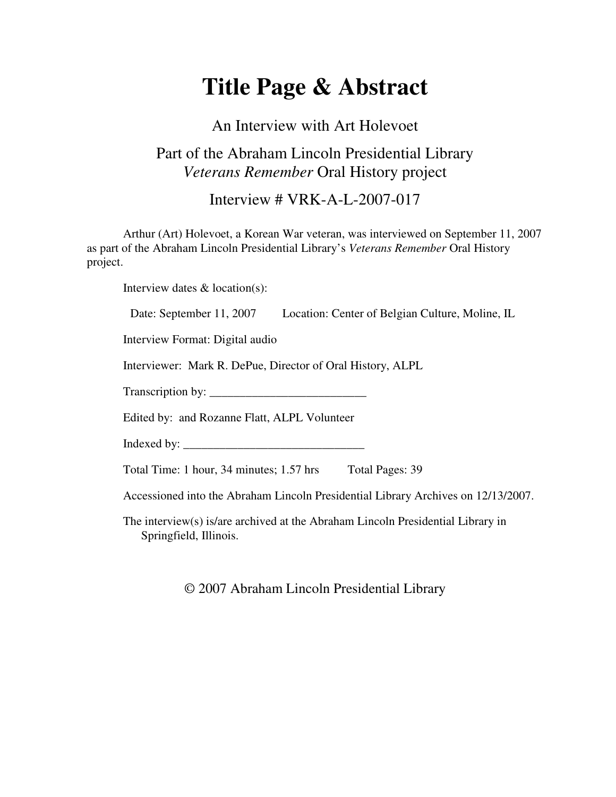# **Title Page & Abstract**

### An Interview with Art Holevoet

#### Part of the Abraham Lincoln Presidential Library *Veterans Remember* Oral History project

Interview # VRK-A-L-2007-017

Arthur (Art) Holevoet, a Korean War veteran, was interviewed on September 11, 2007 as part of the Abraham Lincoln Presidential Library's *Veterans Remember* Oral History project.

Interview dates & location(s):

Date: September 11, 2007 Location: Center of Belgian Culture, Moline, IL

Interview Format: Digital audio

Interviewer: Mark R. DePue, Director of Oral History, ALPL

Transcription by: \_\_\_\_\_\_\_\_\_\_\_\_\_\_\_\_\_\_\_\_\_\_\_\_\_\_

Edited by: and Rozanne Flatt, ALPL Volunteer

Indexed by: \_\_\_\_\_\_\_\_\_\_\_\_\_\_\_\_\_\_\_\_\_\_\_\_\_\_\_\_\_\_

Total Time: 1 hour, 34 minutes; 1.57 hrs Total Pages: 39

Accessioned into the Abraham Lincoln Presidential Library Archives on 12/13/2007.

The interview(s) is/are archived at the Abraham Lincoln Presidential Library in Springfield, Illinois.

© 2007 Abraham Lincoln Presidential Library